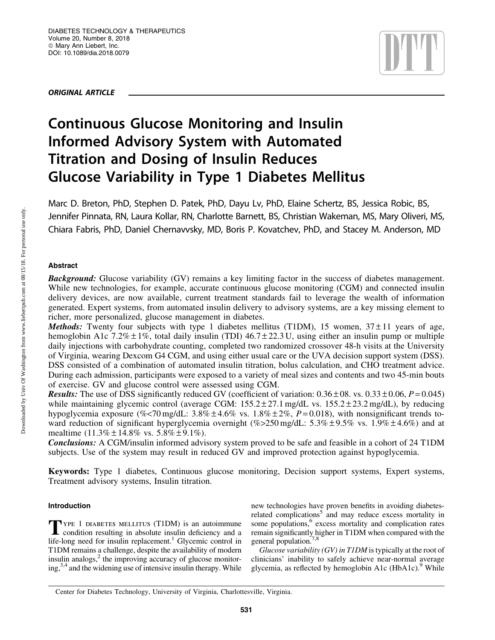ORIGINAL ARTICLE



# Continuous Glucose Monitoring and Insulin Informed Advisory System with Automated Titration and Dosing of Insulin Reduces Glucose Variability in Type 1 Diabetes Mellitus

Marc D. Breton, PhD, Stephen D. Patek, PhD, Dayu Lv, PhD, Elaine Schertz, BS, Jessica Robic, BS, Jennifer Pinnata, RN, Laura Kollar, RN, Charlotte Barnett, BS, Christian Wakeman, MS, Mary Oliveri, MS, Chiara Fabris, PhD, Daniel Chernavvsky, MD, Boris P. Kovatchev, PhD, and Stacey M. Anderson, MD

# Abstract

**Background:** Glucose variability (GV) remains a key limiting factor in the success of diabetes management. While new technologies, for example, accurate continuous glucose monitoring (CGM) and connected insulin delivery devices, are now available, current treatment standards fail to leverage the wealth of information generated. Expert systems, from automated insulin delivery to advisory systems, are a key missing element to richer, more personalized, glucose management in diabetes.

*Methods:* Twenty four subjects with type 1 diabetes mellitus (T1DM), 15 women,  $37 \pm 11$  years of age, hemoglobin A1c 7.2%  $\pm$  1%, total daily insulin (TDI) 46.7 $\pm$ 22.3 U, using either an insulin pump or multiple daily injections with carbohydrate counting, completed two randomized crossover 48-h visits at the University of Virginia, wearing Dexcom G4 CGM, and using either usual care or the UVA decision support system (DSS). DSS consisted of a combination of automated insulin titration, bolus calculation, and CHO treatment advice. During each admission, participants were exposed to a variety of meal sizes and contents and two 45-min bouts of exercise. GV and glucose control were assessed using CGM.

**Results:** The use of DSS significantly reduced GV (coefficient of variation:  $0.36 \pm 08$ . vs.  $0.33 \pm 0.06$ ,  $P = 0.045$ ) while maintaining glycemic control (average CGM:  $155.2 \pm 27.1$  mg/dL vs.  $155.2 \pm 23.2$  mg/dL), by reducing hypoglycemia exposure (%<70 mg/dL:  $3.8\% \pm 4.6\%$  vs.  $1.8\% \pm 2\%$ ,  $P = 0.018$ ), with nonsignificant trends toward reduction of significant hyperglycemia overnight (%>250 mg/dL:  $5.3\% \pm 9.5\%$  vs.  $1.9\% \pm 4.6\%$ ) and at mealtime  $(11.3\% \pm 14.8\% \text{ vs. } 5.8\% \pm 9.1\%).$ 

Conclusions: A CGM/insulin informed advisory system proved to be safe and feasible in a cohort of 24 T1DM subjects. Use of the system may result in reduced GV and improved protection against hypoglycemia.

Keywords: Type 1 diabetes, Continuous glucose monitoring, Decision support systems, Expert systems, Treatment advisory systems, Insulin titration.

# Introduction

TYPE 1 DIABETES MELLITUS (T1DM) is an autoimmune<br>condition resulting in absolute insulin deficiency and a life-long need for insulin replacement.<sup>1</sup> Glycemic control in T1DM remains a challenge, despite the availability of modern insulin analogs, $2$  the improving accuracy of glucose monitoring,3,4 and the widening use of intensive insulin therapy. While new technologies have proven benefits in avoiding diabetesrelated complications<sup>5</sup> and may reduce excess mortality in some populations,<sup>6</sup> excess mortality and complication rates remain significantly higher in T1DM when compared with the general population.<sup>7,8</sup>

*Glucose variability (GV) in T1DM* is typically at the root of clinicians' inability to safely achieve near-normal average glycemia, as reflected by hemoglobin A1c  $(HbA1c)$ . While

Center for Diabetes Technology, University of Virginia, Charlottesville, Virginia.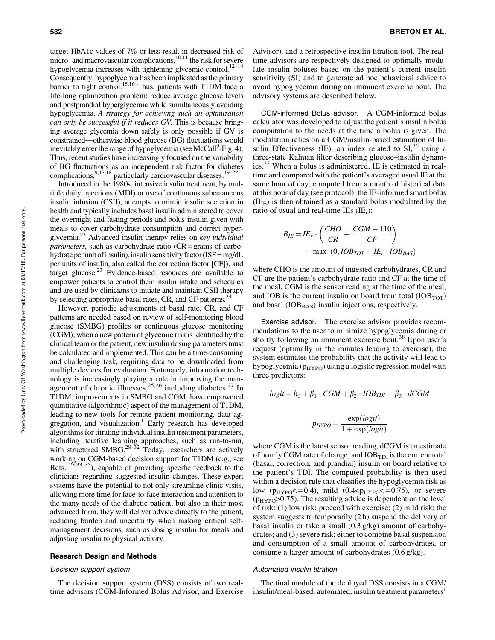target HbA1c values of 7% or less result in decreased risk of micro- and macrovascular complications, $10,11$  the risk for severe hypoglycemia increases with tightening glycemic control.<sup>12–14</sup> Consequently, hypoglycemia has been implicated as the primary barrier to tight control.<sup>15,16</sup> Thus, patients with T1DM face a life-long optimization problem: reduce average glucose levels and postprandial hyperglycemia while simultaneously avoiding hypoglycemia. *A strategy for achieving such an optimization can only be successful if it reduces GV.* This is because bringing average glycemia down safely is only possible if GV is constrained—otherwise blood glucose (BG) fluctuations would inevitably enter the range of hypoglycemia (see McCall<sup>9</sup>-Fig. 4). Thus, recent studies have increasingly focused on the variability of BG fluctuations as an independent risk factor for diabetes complications,  $9,17,18$  particularly cardiovascular diseases.<sup>19–22</sup>

Introduced in the 1980s, intensive insulin treatment, by multiple daily injections (MDI) or use of continuous subcutaneous insulin infusion (CSII), attempts to mimic insulin secretion in health and typically includes basal insulin administered to cover the overnight and fasting periods and bolus insulin given with meals to cover carbohydrate consumption and correct hyperglycemia.23 Advanced insulin therapy relies on *key individual parameters*, such as carbohydrate ratio (CR= grams of carbohydrate per unit of insulin), insulin sensitivity factor ( $ISF = mg/dL$ per units of insulin, also called the correction factor [CF]), and target glucose. $^{23}$  Evidence-based resources are available to empower patients to control their insulin intake and schedules and are used by clinicians to initiate and maintain CSII therapy by selecting appropriate basal rates, CR, and CF patterns.<sup>24</sup>

However, periodic adjustments of basal rate, CR, and CF patterns are needed based on review of self-monitoring blood glucose (SMBG) profiles or continuous glucose monitoring (CGM); when a new pattern of glycemic risk is identified by the clinical team or the patient, new insulin dosing parameters must be calculated and implemented. This can be a time-consuming and challenging task, requiring data to be downloaded from multiple devices for evaluation. Fortunately, information technology is increasingly playing a role in improving the management of chronic illnesses,  $25,26$  including diabetes.<sup>27</sup> In T1DM, improvements in SMBG and CGM, have empowered quantitative (algorithmic) aspect of the management of T1DM, leading to new tools for remote patient monitoring, data aggregation, and visualization.<sup>1</sup> Early research has developed algorithms for titrating individual insulin treatment parameters, including iterative learning approaches, such as run-to-run, with structured SMBG.<sup>28–32</sup> Today, researchers are actively working on CGM-based decision support for T1DM (e.g., see Refs.  $23,33–35$ ), capable of providing specific feedback to the clinicians regarding suggested insulin changes. These expert systems have the potential to not only streamline clinic visits, allowing more time for face-to-face interaction and attention to the many needs of the diabetic patient, but also in their most advanced form, they will deliver advice directly to the patient, reducing burden and uncertainty when making critical selfmanagement decisions, such as dosing insulin for meals and adjusting insulin to physical activity.

#### Research Design and Methods

#### Decision support system

The decision support system (DSS) consists of two realtime advisors (CGM-Informed Bolus Advisor, and Exercise Advisor), and a retrospective insulin titration tool. The realtime advisors are respectively designed to optimally modulate insulin boluses based on the patient's current insulin sensitivity (SI) and to generate ad hoc behavioral advice to avoid hypoglycemia during an imminent exercise bout. The advisory systems are described below.

CGM-informed Bolus advisor. A CGM-informed bolus calculator was developed to adjust the patient's insulin bolus computation to the needs at the time a bolus is given. The modulation relies on a CGM/insulin-based estimation of Insulin Effectiveness (IE), an index related to  $SI^{36}$  using a three-state Kalman filter describing glucose–insulin dynamics.<sup>37</sup> When a bolus is administered, IE is estimated in realtime and compared with the patient's averaged usual IE at the same hour of day, computed from a month of historical data at this hour of day (see protocol); the IE-informed smart bolus  $(B_{IF})$  is then obtained as a standard bolus modulated by the ratio of usual and real-time IEs  $(IE_r)$ :

$$
B_{IE} = I E_r \cdot \left(\frac{CHO}{CR} + \frac{CGM - 110}{CF}\right)
$$
  
- max (0, *IOB<sub>TOT</sub> - IE<sub>r</sub> \cdot IOB<sub>BAS</sub>)*

where CHO is the amount of ingested carbohydrates, CR and CF are the patient's carbohydrate ratio and CF at the time of the meal, CGM is the sensor reading at the time of the meal, and IOB is the current insulin on board from total  $(IOB<sub>TOT</sub>)$ and basal  $(IOB<sub>BAS</sub>)$  insulin injections, respectively.

Exercise advisor. The exercise advisor provides recommendations to the user to minimize hypoglycemia during or shortly following an imminent exercise bout.<sup>38</sup> Upon user's request (optimally in the minutes leading to exercise), the system estimates the probability that the activity will lead to hypoglycemia ( $p_{HYPO}$ ) using a logistic regression model with three predictors:

$$
logit = \beta_0 + \beta_1 \cdot CGM + \beta_2 \cdot IOB_{TDI} + \beta_3 \cdot dCGM
$$

$$
p_{HYPO} = \frac{\exp(logit)}{1 + \exp(logit)}
$$

where CGM is the latest sensor reading, dCGM is an estimate of hourly CGM rate of change, and  $IOB<sub>TDI</sub>$  is the current total (basal, correction, and prandial) insulin on board relative to the patient's TDI. The computed probability is then used within a decision rule that classifies the hypoglycemia risk as low ( $p_{HYPO} \leq 0.4$ ), mild (0.4 $\langle p_{HYPO} \leq 0.75$ ), or severe  $(p_{HYPO} > 0.75)$ . The resulting advice is dependent on the level of risk: (1) low risk: proceed with exercise; (2) mild risk: the system suggests to temporarily (2 h) suspend the delivery of basal insulin or take a small (0.3 g/kg) amount of carbohydrates; and (3) severe risk: either to combine basal suspension and consumption of a small amount of carbohydrates, or consume a larger amount of carbohydrates (0.6 g/kg).

#### Automated insulin titration

The final module of the deployed DSS consists in a CGM/ insulin/meal-based, automated, insulin treatment parameters'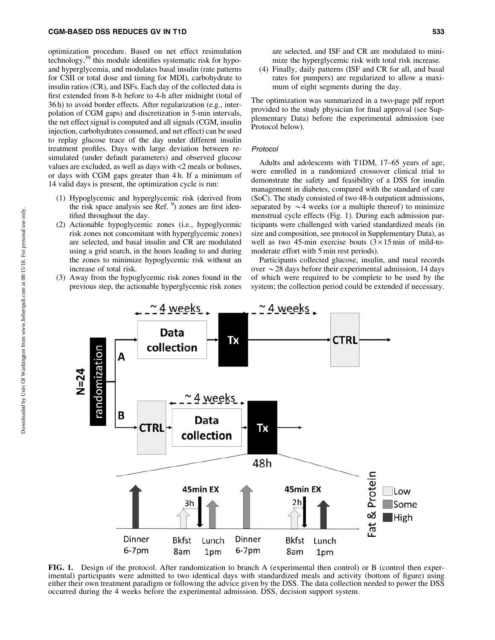### CGM-BASED DSS REDUCES GV IN T1D 533

optimization procedure. Based on net effect resimulation technology, $39$  this module identifies systematic risk for hypoand hyperglycemia, and modulates basal insulin (rate patterns for CSII or total dose and timing for MDI), carbohydrate to insulin ratios (CR), and ISFs. Each day of the collected data is first extended from 8-h before to 4-h after midnight (total of 36 h) to avoid border effects. After regularization (e.g., interpolation of CGM gaps) and discretization in 5-min intervals, the net effect signal is computed and all signals (CGM, insulin injection, carbohydrates consumed, and net effect) can be used to replay glucose trace of the day under different insulin treatment profiles. Days with large deviation between resimulated (under default parameters) and observed glucose values are excluded, as well as days with <2 meals or boluses, or days with CGM gaps greater than 4 h. If a minimum of 14 valid days is present, the optimization cycle is run:

- (1) Hypoglycemic and hyperglycemic risk (derived from the risk space analysis see Ref. <sup>9</sup> ) zones are first identified throughout the day.
- (2) Actionable hypoglycemic zones (i.e., hypoglycemic risk zones not concomitant with hyperglycemic zones) are selected, and basal insulin and CR are modulated using a grid search, in the hours leading to and during the zones to minimize hypoglycemic risk without an increase of total risk.
- (3) Away from the hypoglycemic risk zones found in the previous step, the actionable hyperglycemic risk zones

are selected, and ISF and CR are modulated to minimize the hyperglycemic risk with total risk increase.

(4) Finally, daily patterns (ISF and CR for all, and basal rates for pumpers) are regularized to allow a maximum of eight segments during the day.

The optimization was summarized in a two-page pdf report provided to the study physician for final approval (see Supplementary Data) before the experimental admission (see Protocol below).

#### Protocol

Adults and adolescents with T1DM, 17–65 years of age, were enrolled in a randomized crossover clinical trial to demonstrate the safety and feasibility of a DSS for insulin management in diabetes, compared with the standard of care (SoC). The study consisted of two 48-h outpatient admissions, separated by  $\sim$  4 weeks (or a multiple thereof) to minimize menstrual cycle effects (Fig. 1). During each admission participants were challenged with varied standardized meals (in size and composition, see protocol in Supplementary Data), as well as two 45-min exercise bouts  $(3 \times 15 \text{ min of mild-to-}$ moderate effort with 5 min rest periods).

Participants collected glucose, insulin, and meal records over  $\sim$  28 days before their experimental admission, 14 days of which were required to be complete to be used by the system; the collection period could be extended if necessary.



FIG. 1. Design of the protocol. After randomization to branch A (experimental then control) or B (control then experimental) participants were admitted to two identical days with standardized meals and activity (bottom of figure) using either their own treatment paradigm or following the advice given by the DSS. The data collection needed to power the DSS occurred during the 4 weeks before the experimental admission. DSS, decision support system.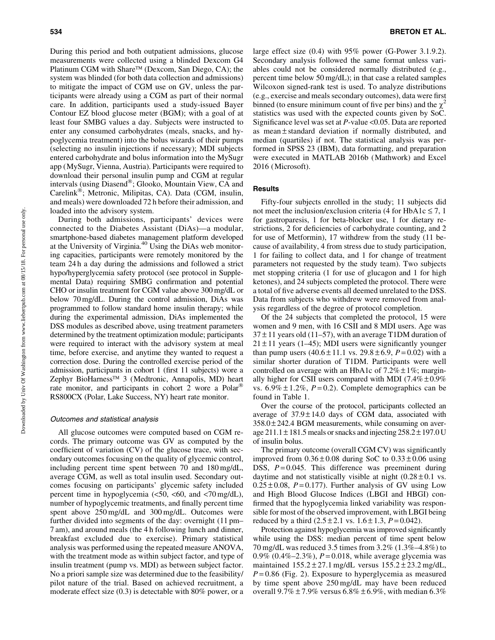During this period and both outpatient admissions, glucose measurements were collected using a blinded Dexcom G4 Platinum CGM with Share™ (Dexcom, San Diego, CA); the system was blinded (for both data collection and admissions) to mitigate the impact of CGM use on GV, unless the participants were already using a CGM as part of their normal care. In addition, participants used a study-issued Bayer Contour EZ blood glucose meter (BGM); with a goal of at least four SMBG values a day. Subjects were instructed to enter any consumed carbohydrates (meals, snacks, and hypoglycemia treatment) into the bolus wizards of their pumps (selecting no insulin injections if necessary); MDI subjects entered carbohydrate and bolus information into the MySugr app (MySugr, Vienna, Austria). Participants were required to download their personal insulin pump and CGM at regular intervals (using  $Di$ asend<sup>®</sup>; Glooko, Mountain View, CA and Carelink®; Metronic, Milipitas, CA). Data (CGM, insulin, and meals) were downloaded 72 h before their admission, and loaded into the advisory system.

During both admissions, participants' devices were connected to the Diabetes Assistant (DiAs)—a modular, smartphone-based diabetes management platform developed at the University of Virginia.40 Using the DiAs web monitoring capacities, participants were remotely monitored by the team 24 h a day during the admissions and followed a strict hypo/hyperglycemia safety protocol (see protocol in Supplemental Data) requiring SMBG confirmation and potential CHO or insulin treatment for CGM value above 300 mg/dL or below 70 mg/dL. During the control admission, DiAs was programmed to follow standard home insulin therapy; while during the experimental admission, DiAs implemented the DSS modules as described above, using treatment parameters determined by the treatment optimization module; participants were required to interact with the advisory system at meal time, before exercise, and anytime they wanted to request a correction dose. During the controlled exercise period of the admission, participants in cohort 1 (first 11 subjects) wore a Zephyr BioHarness™ 3 (Medtronic, Annapolis, MD) heart rate monitor, and participants in cohort 2 wore a Polar<sup>®</sup> RS800CX (Polar, Lake Success, NY) heart rate monitor.

#### Outcomes and statistical analysis

All glucose outcomes were computed based on CGM records. The primary outcome was GV as computed by the coefficient of variation (CV) of the glucose trace, with secondary outcomes focusing on the quality of glycemic control, including percent time spent between 70 and 180 mg/dL, average CGM, as well as total insulin used. Secondary outcomes focusing on participants' glycemic safety included percent time in hypoglycemia  $\langle$  <50, <60, and <70 mg/dL), number of hypoglycemic treatments, and finally percent time spent above 250 mg/dL and 300 mg/dL. Outcomes were further divided into segments of the day: overnight (11 pm– 7 am), and around meals (the 4 h following lunch and dinner, breakfast excluded due to exercise). Primary statistical analysis was performed using the repeated measure ANOVA, with the treatment mode as within subject factor, and type of insulin treatment (pump vs. MDI) as between subject factor. No a priori sample size was determined due to the feasibility/ pilot nature of the trial. Based on achieved recruitment, a moderate effect size (0.3) is detectable with 80% power, or a large effect size (0.4) with 95% power (G-Power 3.1.9.2). Secondary analysis followed the same format unless variables could not be considered normally distributed (e.g., percent time below 50 mg/dL); in that case a related samples Wilcoxon signed-rank test is used. To analyze distributions (e.g., exercise and meals secondary outcomes), data were first binned (to ensure minimum count of five per bins) and the  $\chi^2$ statistics was used with the expected counts given by SoC. Significance level was set at *P*-value <0.05. Data are reported as mean  $\pm$  standard deviation if normally distributed, and median (quartiles) if not. The statistical analysis was performed in SPSS 23 (IBM), data formatting, and preparation were executed in MATLAB 2016b (Mathwork) and Excel 2016 (Microsoft).

## Results

Fifty-four subjects enrolled in the study; 11 subjects did not meet the inclusion/exclusion criteria (4 for HbA1c  $\leq$  7, 1 for gastroparesis, 1 for beta-blocker use, 1 for dietary restrictions, 2 for deficiencies of carbohydrate counting, and 2 for use of Metformin), 17 withdrew from the study (11 because of availability, 4 from stress due to study participation, 1 for failing to collect data, and 1 for change of treatment parameters not requested by the study team). Two subjects met stopping criteria (1 for use of glucagon and 1 for high ketones), and 24 subjects completed the protocol. There were a total of five adverse events all deemed unrelated to the DSS. Data from subjects who withdrew were removed from analysis regardless of the degree of protocol completion.

Of the 24 subjects that completed the protocol, 15 were women and 9 men, with 16 CSII and 8 MDI users. Age was  $37 \pm 11$  years old (11–57), with an average T1DM duration of  $21 \pm 11$  years (1–45); MDI users were significantly younger than pump users  $(40.6 \pm 11.1 \text{ vs. } 29.8 \pm 6.9, P = 0.02)$  with a similar shorter duration of T1DM. Participants were well controlled on average with an HbA1c of  $7.2\% \pm 1\%$ ; marginally higher for CSII users compared with MDI  $(7.4\% \pm 0.9\%$ vs.  $6.9\% \pm 1.2\%$ ,  $P = 0.2$ ). Complete demographics can be found in Table 1.

Over the course of the protocol, participants collected an average of  $37.9 \pm 14.0$  days of CGM data, associated with  $358.0 \pm 242.4$  BGM measurements, while consuming on average 211.1  $\pm$  181.5 meals or snacks and injecting 258.2  $\pm$  197.0 U of insulin bolus.

The primary outcome (overall CGM CV) was significantly improved from  $0.36 \pm 0.08$  during SoC to  $0.33 \pm 0.06$  using DSS,  $P=0.045$ . This difference was preeminent during daytime and not statistically visible at night  $(0.28 \pm 0.1 \text{ vs.})$  $0.25 \pm 0.08$ ,  $P = 0.177$ ). Further analysis of GV using Low and High Blood Glucose Indices (LBGI and HBGI) confirmed that the hypoglycemia linked variability was responsible for most of the observed improvement, with LBGI being reduced by a third  $(2.5 \pm 2.1 \text{ vs. } 1.6 \pm 1.3, P = 0.042)$ .

Protection against hypoglycemia was improved significantly while using the DSS: median percent of time spent below 70 mg/dL was reduced 3.5 times from 3.2% (1.3%–4.8%) to 0.9% (0.4%–2.3%), *P* = 0.018, while average glycemia was maintained  $155.2 \pm 27.1$  mg/dL versus  $155.2 \pm 23.2$  mg/dL,  $P = 0.86$  (Fig. 2). Exposure to hyperglycemia as measured by time spent above 250 mg/dL may have been reduced overall  $9.7\% \pm 7.9\%$  versus  $6.8\% \pm 6.9\%$ , with median  $6.3\%$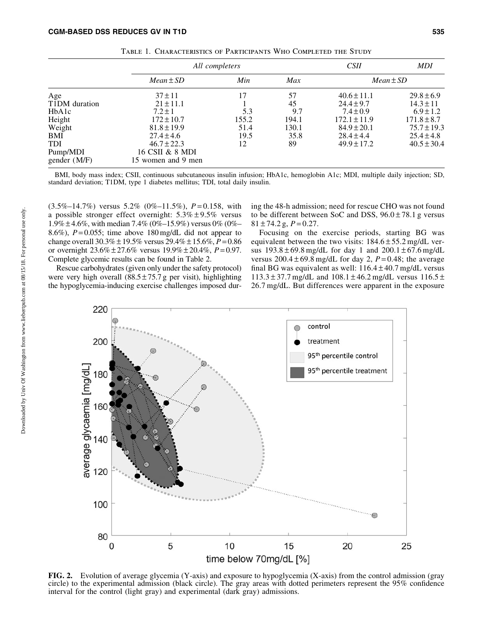|                  | All completers     |       |       | <i>CSII</i>      | <b>MDI</b>      |
|------------------|--------------------|-------|-------|------------------|-----------------|
|                  | $Mean \pm SD$      | Min   | Max   |                  | $Mean \pm SD$   |
| Age              | $37 \pm 11$        | 17    | 57    | $40.6 \pm 11.1$  | $29.8 \pm 6.9$  |
| T1DM duration    | $21 \pm 11.1$      |       | 45    | $24.4 \pm 9.7$   | $14.3 \pm 11$   |
| HbA1c            | $7.2 \pm 1$        | 5.3   | 9.7   | $7.4 \pm 0.9$    | $6.9 \pm 1.2$   |
|                  | $172 \pm 10.7$     | 155.2 | 194.1 | $172.1 \pm 11.9$ | $171.8 \pm 8.7$ |
| Height<br>Weight | $81.8 \pm 19.9$    | 51.4  | 130.1 | $84.9 \pm 20.1$  | $75.7 \pm 19.3$ |
| BMI              | $27.4 \pm 4.6$     | 19.5  | 35.8  | $28.4 \pm 4.4$   | $25.4 \pm 4.8$  |
| <b>TDI</b>       | $46.7 \pm 22.3$    | 12    | 89    | $49.9 \pm 17.2$  | $40.5 \pm 30.4$ |
| Pump/MDI         | 16 CSII & 8 MDI    |       |       |                  |                 |
| gender (M/F)     | 15 women and 9 men |       |       |                  |                 |

Table 1. Characteristics of Participants Who Completed the Study

BMI, body mass index; CSII, continuous subcutaneous insulin infusion; HbA1c, hemoglobin A1c; MDI, multiple daily injection; SD, standard deviation; T1DM, type 1 diabetes mellitus; TDI, total daily insulin.

(3.5%–14.7%) versus 5.2% (0%–11.5%), *P* = 0.158, with a possible stronger effect overnight:  $5.3\% \pm 9.5\%$  versus  $1.9\% \pm 4.6\%$ , with median 7.4% (0%–15.9%) versus 0% (0%– 8.6%),  $P = 0.055$ ; time above 180 mg/dL did not appear to change overall 30.3% – 19.5% versus 29.4%– 15.6%, *P* = 0.86 or overnight 23.6% – 27.6% versus 19.9%– 20.4%, *P* = 0.97. Complete glycemic results can be found in Table 2.

Rescue carbohydrates (given only under the safety protocol) were very high overall  $(88.5 \pm 75.7 \text{ g}$  per visit), highlighting the hypoglycemia-inducing exercise challenges imposed during the 48-h admission; need for rescue CHO was not found to be different between SoC and DSS,  $96.0 \pm 78.1$  g versus  $81 \pm 74.2$  g,  $P = 0.27$ .

Focusing on the exercise periods, starting BG was equivalent between the two visits:  $184.6 \pm 55.2$  mg/dL versus  $193.8 \pm 69.8$  mg/dL for day 1 and  $200.1 \pm 67.6$  mg/dL versus  $200.4 \pm 69.8$  mg/dL for day 2,  $P = 0.48$ ; the average final BG was equivalent as well:  $116.4 \pm 40.7$  mg/dL versus  $113.3 \pm 37.7$  mg/dL and  $108.1 \pm 46.2$  mg/dL versus  $116.5 \pm 10.5$ 26.7 mg/dL. But differences were apparent in the exposure



FIG. 2. Evolution of average glycemia (Y-axis) and exposure to hypoglycemia (X-axis) from the control admission (gray circle) to the experimental admission (black circle). The gray areas with dotted perimeters represent the 95% confidence interval for the control (light gray) and experimental (dark gray) admissions.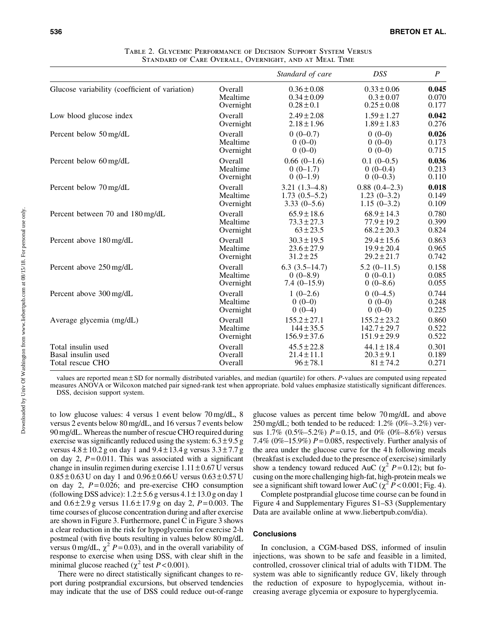|                                                |           | Standard of care | DSS              | $\boldsymbol{P}$ |
|------------------------------------------------|-----------|------------------|------------------|------------------|
| Glucose variability (coefficient of variation) | Overall   | $0.36 \pm 0.08$  | $0.33 \pm 0.06$  | 0.045            |
|                                                | Mealtime  | $0.34 \pm 0.09$  | $0.3 \pm 0.07$   | 0.070            |
|                                                | Overnight | $0.28 \pm 0.1$   | $0.25 \pm 0.08$  | 0.177            |
| Low blood glucose index                        | Overall   | $2.49 \pm 2.08$  | $1.59 \pm 1.27$  | 0.042            |
|                                                | Overnight | $2.18 \pm 1.96$  | $1.89 \pm 1.83$  | 0.276            |
| Percent below 50 mg/dL                         | Overall   | $0(0-0.7)$       | $0(0-0)$         | 0.026            |
|                                                | Mealtime  | $0(0-0)$         | $0(0-0)$         | 0.173            |
|                                                | Overnight | $0(0-0)$         | $0(0-0)$         | 0.715            |
| Percent below 60 mg/dL                         | Overall   | $0.66(0-1.6)$    | $0.1(0-0.5)$     | 0.036            |
|                                                | Mealtime  | $0(0-1.7)$       | $0(0-0.4)$       | 0.213            |
|                                                | Overnight | $0(0-1.9)$       | $0(0-0.3)$       | 0.110            |
| Percent below 70 mg/dL                         | Overall   | $3.21(1.3-4.8)$  | $0.88(0.4-2.3)$  | 0.018            |
|                                                | Mealtime  | $1.73(0.5-5.2)$  | $1.23(0-3.2)$    | 0.149            |
|                                                | Overnight | $3.33(0-5.6)$    | $1.15(0-3.2)$    | 0.109            |
| Percent between 70 and 180 mg/dL               | Overall   | $65.9 \pm 18.6$  | $68.9 \pm 14.3$  | 0.780            |
|                                                | Mealtime  | $73.3 \pm 27.3$  | $77.9 \pm 19.2$  | 0.399            |
|                                                | Overnight | $63 \pm 23.5$    | $68.2 \pm 20.3$  | 0.824            |
| Percent above 180 mg/dL                        | Overall   | $30.3 \pm 19.5$  | $29.4 \pm 15.6$  | 0.863            |
|                                                | Mealtime  | $23.6 \pm 27.9$  | $19.9 \pm 20.4$  | 0.965            |
|                                                | Overnight | $31.2 \pm 25$    | $29.2 \pm 21.7$  | 0.742            |
| Percent above 250 mg/dL                        | Overall   | $6.3(3.5-14.7)$  | $5.2(0-11.5)$    | 0.158            |
|                                                | Mealtime  | $0(0-8.9)$       | $0(0-0.1)$       | 0.085            |
|                                                | Overnight | $7.4(0-15.9)$    | $0(0-8.6)$       | 0.055            |
| Percent above 300 mg/dL                        | Overall   | $1(0-2.6)$       | $0(0-4.5)$       | 0.744            |
|                                                | Mealtime  | $0(0-0)$         | $0(0-0)$         | 0.248            |
|                                                | Overnight | $0(0-4)$         | $0(0-0)$         | 0.225            |
| Average glycemia (mg/dL)                       | Overall   | $155.2 \pm 27.1$ | $155.2 \pm 23.2$ | 0.860            |
|                                                | Mealtime  | $144 \pm 35.5$   | $142.7 \pm 29.7$ | 0.522            |
|                                                | Overnight | $156.9 \pm 37.6$ | $151.9 \pm 29.9$ | 0.522            |
| Total insulin used                             | Overall   | $45.5 \pm 22.8$  | $44.1 \pm 18.4$  | 0.301            |
| Basal insulin used                             | Overall   | $21.4 \pm 11.1$  | $20.3 \pm 9.1$   | 0.189            |
| Total rescue CHO                               | Overall   | $96 \pm 78.1$    | $81 \pm 74.2$    | 0.271            |

| TABLE 2. GLYCEMIC PERFORMANCE OF DECISION SUPPORT SYSTEM VERSUS |  |  |
|-----------------------------------------------------------------|--|--|
| STANDARD OF CARE OVERALL, OVERNIGHT, AND AT MEAL TIME           |  |  |

values are reported mean – SD for normally distributed variables, and median (quartile) for others. *P*-values are computed using repeated measures ANOVA or Wilcoxon matched pair signed-rank test when appropriate. bold values emphasize statistically significant differences. DSS, decision support system.

to low glucose values: 4 versus 1 event below 70 mg/dL, 8 versus 2 events below 80 mg/dL, and 16 versus 7 events below 90 mg/dL. Whereas the number of rescue CHO required during exercise was significantly reduced using the system:  $6.3 \pm 9.5$  g versus  $4.8 \pm 10.2$  g on day 1 and  $9.4 \pm 13.4$  g versus  $3.3 \pm 7.7$  g on day 2,  $P = 0.011$ . This was associated with a significant change in insulin regimen during exercise  $1.11 \pm 0.67$  U versus  $0.85\pm0.63$  U on day 1 and  $0.96\pm0.66$  U versus  $0.63\pm0.57$  U on day 2, *P* = 0.026; and pre-exercise CHO consumption (following DSS advice):  $1.2 \pm 5.6$  g versus  $4.1 \pm 13.0$  g on day 1 and  $0.6 \pm 2.9$  g versus  $11.6 \pm 17.9$  g on day 2,  $P = 0.003$ . The time courses of glucose concentration during and after exercise are shown in Figure 3. Furthermore, panel C in Figure 3 shows a clear reduction in the risk for hypoglycemia for exercise 2-h postmeal (with five bouts resulting in values below 80 mg/dL versus 0 mg/dL,  $\chi^2$  *P* = 0.03), and in the overall variability of response to exercise when using DSS, with clear shift in the minimal glucose reached ( $\chi^2$  test *P* < 0.001).

There were no direct statistically significant changes to report during postprandial excursions, but observed tendencies may indicate that the use of DSS could reduce out-of-range glucose values as percent time below 70 mg/dL and above  $250 \text{ mg/dL}$ ; both tended to be reduced:  $1.2\%$  (0%–3.2%) versus 1.7%  $(0.5\% - 5.2\%) P = 0.15$ , and 0%  $(0\% - 8.6\%)$  versus 7.4% (0%–15.9%)  $P = 0.085$ , respectively. Further analysis of the area under the glucose curve for the 4 h following meals (breakfast is excluded due to the presence of exercise) similarly show a tendency toward reduced AuC ( $\chi^2$  *P* = 0.12); but focusing on the more challenging high-fat, high-protein meals we see a significant shift toward lower AuC ( $\chi^2 P < 0.001$ ; Fig. 4).

Complete postprandial glucose time course can be found in Figure 4 and Supplementary Figures S1–S3 (Supplementary Data are available online at www.liebertpub.com/dia).

# **Conclusions**

In conclusion, a CGM-based DSS, informed of insulin injections, was shown to be safe and feasible in a limited, controlled, crossover clinical trial of adults with T1DM. The system was able to significantly reduce GV, likely through the reduction of exposure to hypoglycemia, without increasing average glycemia or exposure to hyperglycemia.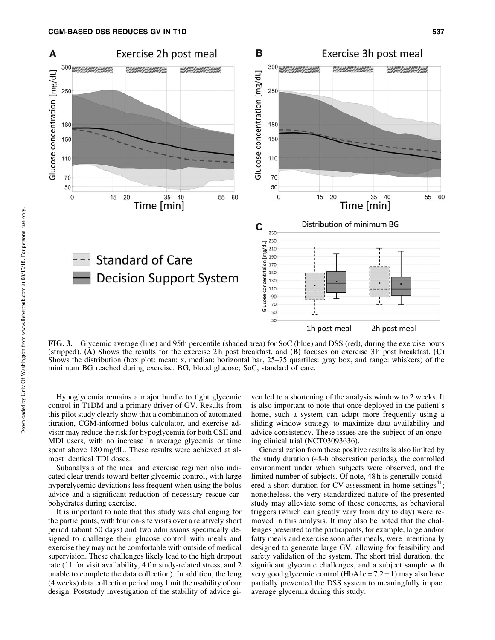

FIG. 3. Glycemic average (line) and 95th percentile (shaded area) for SoC (blue) and DSS (red), during the exercise bouts (stripped). (A) Shows the results for the exercise 2 h post breakfast, and  $(B)$  focuses on exercise 3 h post breakfast.  $(C)$ Shows the distribution (box plot: mean: x, median: horizontal bar, 25–75 quartiles: gray box, and range: whiskers) of the minimum BG reached during exercise. BG, blood glucose; SoC, standard of care.

Hypoglycemia remains a major hurdle to tight glycemic control in T1DM and a primary driver of GV. Results from this pilot study clearly show that a combination of automated titration, CGM-informed bolus calculator, and exercise advisor may reduce the risk for hypoglycemia for both CSII and MDI users, with no increase in average glycemia or time spent above 180 mg/dL. These results were achieved at almost identical TDI doses.

Subanalysis of the meal and exercise regimen also indicated clear trends toward better glycemic control, with large hyperglycemic deviations less frequent when using the bolus advice and a significant reduction of necessary rescue carbohydrates during exercise.

It is important to note that this study was challenging for the participants, with four on-site visits over a relatively short period (about 50 days) and two admissions specifically designed to challenge their glucose control with meals and exercise they may not be comfortable with outside of medical supervision. These challenges likely lead to the high dropout rate (11 for visit availability, 4 for study-related stress, and 2 unable to complete the data collection). In addition, the long (4 weeks) data collection period may limit the usability of our design. Poststudy investigation of the stability of advice gi-

ven led to a shortening of the analysis window to 2 weeks. It is also important to note that once deployed in the patient's home, such a system can adapt more frequently using a sliding window strategy to maximize data availability and advice consistency. These issues are the subject of an ongoing clinical trial (NCT03093636).

Generalization from these positive results is also limited by the study duration (48-h observation periods), the controlled environment under which subjects were observed, and the limited number of subjects. Of note, 48 h is generally considered a short duration for CV assessment in home settings<sup>4</sup> nonetheless, the very standardized nature of the presented study may alleviate some of these concerns, as behavioral triggers (which can greatly vary from day to day) were removed in this analysis. It may also be noted that the challenges presented to the participants, for example, large and/or fatty meals and exercise soon after meals, were intentionally designed to generate large GV, allowing for feasibility and safety validation of the system. The short trial duration, the significant glycemic challenges, and a subject sample with very good glycemic control (HbA1c =  $7.2 \pm 1$ ) may also have partially prevented the DSS system to meaningfully impact average glycemia during this study.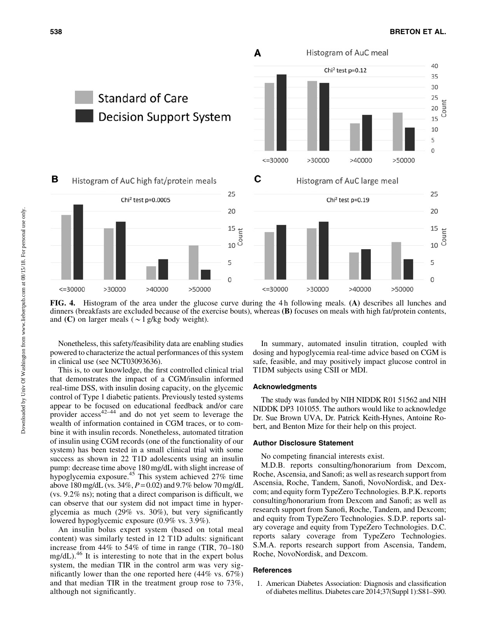

FIG. 4. Histogram of the area under the glucose curve during the 4 h following meals. (A) describes all lunches and dinners (breakfasts are excluded because of the exercise bouts), whereas (B) focuses on meals with high fat/protein contents, and (C) on larger meals ( $\sim$ 1 g/kg body weight).

Nonetheless, this safety/feasibility data are enabling studies powered to characterize the actual performances of this system in clinical use (see NCT03093636).

This is, to our knowledge, the first controlled clinical trial that demonstrates the impact of a CGM/insulin informed real-time DSS, with insulin dosing capacity, on the glycemic control of Type 1 diabetic patients. Previously tested systems appear to be focused on educational feedback and/or care provider  $\arccos^{42-44}$  and do not yet seem to leverage the wealth of information contained in CGM traces, or to combine it with insulin records. Nonetheless, automated titration of insulin using CGM records (one of the functionality of our system) has been tested in a small clinical trial with some success as shown in 22 T1D adolescents using an insulin pump: decrease time above 180 mg/dL with slight increase of hypoglycemia exposure.<sup>45</sup> This system achieved 27% time above 180 mg/dL (vs. 34%, *P*= 0.02) and 9.7% below 70 mg/dL (vs. 9.2% ns); noting that a direct comparison is difficult, we can observe that our system did not impact time in hyperglycemia as much (29% vs. 30%), but very significantly lowered hypoglycemic exposure (0.9% vs. 3.9%).

An insulin bolus expert system (based on total meal content) was similarly tested in 12 T1D adults: significant increase from 44% to 54% of time in range (TIR, 70–180 mg/dL).<sup>46</sup> It is interesting to note that in the expert bolus system, the median TIR in the control arm was very significantly lower than the one reported here (44% vs. 67%) and that median TIR in the treatment group rose to 73%, although not significantly.

In summary, automated insulin titration, coupled with dosing and hypoglycemia real-time advice based on CGM is safe, feasible, and may positively impact glucose control in T1DM subjects using CSII or MDI.

# Acknowledgments

The study was funded by NIH NIDDK R01 51562 and NIH NIDDK DP3 101055. The authors would like to acknowledge Dr. Sue Brown UVA, Dr. Patrick Keith-Hynes, Antoine Robert, and Benton Mize for their help on this project.

# Author Disclosure Statement

No competing financial interests exist.

M.D.B. reports consulting/honorarium from Dexcom, Roche, Ascensia, and Sanofi; as well as research support from Ascensia, Roche, Tandem, Sanofi, NovoNordisk, and Dexcom; and equity form TypeZero Technologies. B.P.K. reports consulting/honorarium from Dexcom and Sanofi; as well as research support from Sanofi, Roche, Tandem, and Dexcom; and equity from TypeZero Technologies. S.D.P. reports salary coverage and equity from TypeZero Technologies. D.C. reports salary coverage from TypeZero Technologies. S.M.A. reports research support from Ascensia, Tandem, Roche, NovoNordisk, and Dexcom.

## **References**

1. American Diabetes Association: Diagnosis and classification of diabetes mellitus. Diabetes care 2014;37(Suppl 1):S81–S90.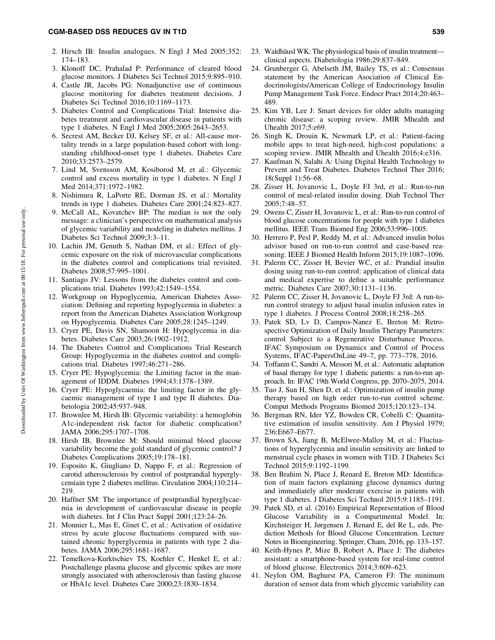# CGM-BASED DSS REDUCES GV IN T1D 539

- 2. Hirsch IB: Insulin analogues. N Engl J Med 2005;352: 174–183.
- 3. Klonoff DC, Prahalad P: Performance of cleared blood glucose monitors. J Diabetes Sci Technol 2015;9:895–910.
- 4. Castle JR, Jacobs PG: Nonadjunctive use of continuous glucose monitoring for diabetes treatment decisions. J Diabetes Sci Technol 2016;10:1169–1173.
- 5. Diabetes Control and Complications Trial: Intensive diabetes treatment and cardiovascular disease in patients with type 1 diabetes. N Engl J Med 2005;2005:2643–2653.
- 6. Secrest AM, Becker DJ, Kelsey SF, et al.: All-cause mortality trends in a large population-based cohort with longstanding childhood-onset type 1 diabetes. Diabetes Care 2010;33:2573–2579.
- 7. Lind M, Svensson AM, Kosiborod M, et al.: Glycemic control and excess mortality in type 1 diabetes. N Engl J Med 2014;371:1972–1982.
- 8. Nishimura R, LaPorte RE, Dorman JS, et al.: Mortality trends in type 1 diabetes. Diabetes Care 2001;24:823–827.
- 9. McCall AL, Kovatchev BP: The median is not the only message: a clinician's perspective on mathematical analysis of glycemic variability and modeling in diabetes mellitus. J Diabetes Sci Technol 2009;3:3–11.
- 10. Lachin JM, Genuth S, Nathan DM, et al.: Effect of glycemic exposure on the risk of microvascular complications in the diabetes control and complications trial revisited. Diabetes 2008;57:995–1001.
- 11. Santiago JV: Lessons from the diabetes control and complications trial. Diabetes 1993;42:1549–1554.
- 12. Workgroup on Hypoglycemia, American Diabetes Association: Defining and reporting hypoglycemia in diabetes: a report from the American Diabetes Association Workgroup on Hypoglycemia. Diabetes Care 2005;28:1245–1249.
- 13. Cryer PE, Davis SN, Shamoon H: Hypoglycemia in diabetes. Diabetes Care 2003;26:1902–1912.
- 14. The Diabetes Control and Complications Trial Research Group: Hypoglycemia in the diabetes control and complications trial. Diabetes 1997;46:271–286.
- 15. Cryer PE: Hypoglycemia: the Limiting factor in the management of IDDM. Diabetes 1994;43:1378–1389.
- 16. Cryer PE: Hypoglycaemia: the limiting factor in the glycaemic management of type I and type II diabetes. Diabetologia 2002;45:937–948.
- 17. Brownlee M, Hirsh IB: Glycemic variability: a hemoglobin A1c-independent risk factor for diabetic complication? JAMA 2006;295:1707–1708.
- 18. Hirsh IB, Brownlee M: Should minimal blood glucose variability become the gold standard of glycemic control? J Diabetes Complications 2005;19:178–181.
- 19. Esposito K, Giugliano D, Nappo F, et al.: Regression of carotid atherosclerosis by control of postprandial hyperglycemiain type 2 diabetes mellitus. Circulation 2004;110:214– 219.
- 20. Haffner SM: The importance of postprandial hyperglycaemia in development of cardiovascular disease in people with diabetes. Int J Clin Pract Suppl 2001;123:24–26.
- 21. Monnier L, Mas E, Ginet C, et al.: Activation of oxidative stress by acute glucose fluctuations compared with sustained chronic hyperglycemia in patients with type 2 diabetes. JAMA 2006;295:1681–1687.
- 22. Temelkova-Kurktschiev TS, Koehler C, Henkel E, et al.: Postchallenge plasma glucose and glycemic spikes are more strongly associated with atherosclerosis than fasting glucose or HbA1c level. Diabetes Care 2000;23:1830–1834.
- 23. Waldhäusl WK: The physiological basis of insulin treatment clinical aspects. Diabetologia 1986;29:837–849.
- 24. Grunberger G, Abelseth JM, Bailey TS, et al.: Consensus statement by the American Asociation of Clinical Endocrinologists/American College of Endocrinology Insulin Pump Management Task Force. Endocr Pract 2014;20:463– 489.
- 25. Kim YB, Lee J: Smart devices for older adults managing chronic disease: a scoping review. JMIR Mhealth and Uhealth 2017;5:e69.
- 26. Singh K, Drouin K, Newmark LP, et al.: Patient-facing mobile apps to treat high-need, high-cost populations: a scoping review. JMIR Mhealth and Uhealth 2016;4:e316.
- 27. Kaufman N, Salahi A: Using Digital Health Technology to Prevent and Treat Diabetes. Diabetes Technol Ther 2016; 18(Suppl 1):56–68.
- 28. Zisser H, Jovanovic L, Doyle FJ 3rd, et al.: Run-to-run control of meal-related insulin dosing. Diab Technol Ther 2005;7:48–57.
- 29. Owens C, Zisser H, Jovanovic L, et al.: Run-to-run control of blood glucose concentrations for people with type 1 diabetes mellitus. IEEE Trans Biomed Eng 2006;53:996–1005.
- 30. Herrero P, Pesl P, Reddy M, et al.: Advanced insulin bolus advisor based on run-to-run control and case-based reasoning. IEEE J Biomed Health Inform 2015;19:1087–1096.
- 31. Palerm CC, Zisser H, Bevier WC, et al.: Prandial insulin dosing using run-to-run control: application of clinical data and medical expertise to define a suitable performance metric. Diabetes Care 2007;30:1131–1136.
- 32. Palerm CC, Zisser H, Jovanovic L, Doyle FJ 3rd: A run-torun control strategy to adjust basal insulin infusion rates in type 1 diabetes. J Process Control 2008;18:258–265.
- 33. Patek SD, Lv D, Campos-Nanez E, Breton M: Retrospective Optimization of Daily Insulin Therapy Parameters: control Subject to a Regenerative Disturbance Process. IFAC Symposium on Dynamics and Control of Process Systems, IFAC-PapersOnLine 49–7, pp. 773–778, 2016.
- 34. Toffanin C, Sandri A, Messori M, et al.: Automatic adaptation of basal therapy for type 1 diabetic patients: a run-to-run approach. In: IFAC 19th World Congress, pp. 2070–2075, 2014.
- 35. Tuo J, Sun H, Shen D, et al.: Optimization of insulin pump therapy based on high order run-to-run control scheme. Comput Methods Programs Biomed 2015;120:123–134.
- 36. Bergman RN, Ider YZ, Bowden CR, Cobelli C: Quantitative estimation of insulin sensitivity. Am J Physiol 1979; 236:E667–E677.
- 37. Brown SA, Jiang B, McElwee-Malloy M, et al.: Fluctuations of hyperglycemia and insulin sensitivity are linked to menstrual cycle phases in women with T1D. J Diabetes Sci Technol 2015;9:1192–1199.
- 38. Ben Brahim N, Place J, Renard E, Breton MD: Identification of main factors explaining glucose dynamics during and immediately after moderate exercise in patients with type 1 diabetes. J Diabetes Sci Technol 2015;9:1185–1191.
- 39. Patek SD, et al. (2016) Empirical Representation of Blood Glucose Variability in a Compartmental Model. In: Kirchsteiger H, Jørgensen J, Renard E, del Re L, eds. Prediction Methods for Blood Glucose Concentration. Lecture Notes in Bioengineering. Springer, Cham, 2016, pp. 133–157.
- 40. Keith-Hynes P, Mize B, Robert A, Place J: The diabetes assistant: a smartphone-based system for real-time control of blood glucose. Electronics 2014;3:609–623.
- 41. Neylon OM, Baghurst PA, Cameron FJ: The minimum duration of sensor data from which glycemic variability can